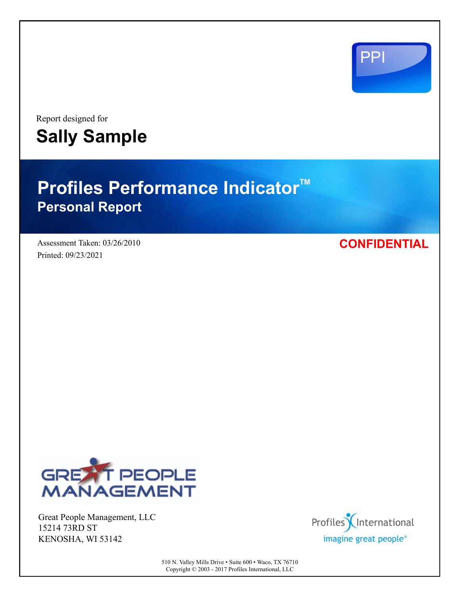

Report designed for **Sally Sample**

# **Profiles Performance Indicator<sup>™</sup> Personal Report**

Assessment Taken: 03/26/2010 Printed: 09/23/2021

**CONFIDENTIAL**



Great People Management, LLC 15214 73RD ST KENOSHA, WI 53142



510 N. Valley Mills Drive • Suite 600 • Waco, TX 76710 Copyright © 2003 - 2017 Profiles International, LLC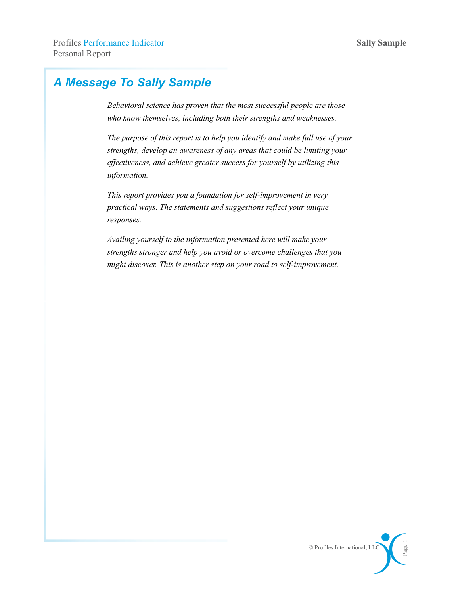## *A Message To Sally Sample*

*Behavioral science has proven that the most successful people are those who know themselves, including both their strengths and weaknesses.*

*The purpose of this report is to help you identify and make full use of your strengths, develop an awareness of any areas that could be limiting your effectiveness, and achieve greater success for yourself by utilizing this information.*

*This report provides you a foundation for self-improvement in very practical ways. The statements and suggestions reflect your unique responses.*

*Availing yourself to the information presented here will make your strengths stronger and help you avoid or overcome challenges that you might discover. This is another step on your road to self-improvement.*

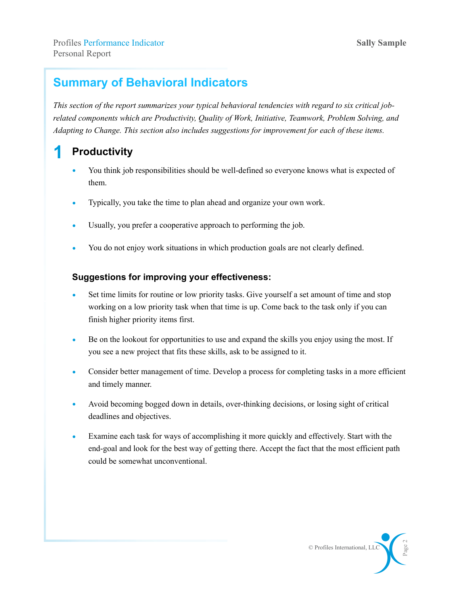## **Summary of Behavioral Indicators**

*This section of the report summarizes your typical behavioral tendencies with regard to six critical jobrelated components which are Productivity, Quality of Work, Initiative, Teamwork, Problem Solving, and Adapting to Change. This section also includes suggestions for improvement for each of these items.*

## **1 Productivity**

- You think job responsibilities should be well-defined so everyone knows what is expected of them.
- Typically, you take the time to plan ahead and organize your own work.
- Usually, you prefer a cooperative approach to performing the job.
- You do not enjoy work situations in which production goals are not clearly defined.

#### **Suggestions for improving your effectiveness:**

- Set time limits for routine or low priority tasks. Give yourself a set amount of time and stop working on a low priority task when that time is up. Come back to the task only if you can finish higher priority items first.
- Be on the lookout for opportunities to use and expand the skills you enjoy using the most. If you see a new project that fits these skills, ask to be assigned to it.
- Consider better management of time. Develop a process for completing tasks in a more efficient and timely manner.
- Avoid becoming bogged down in details, over-thinking decisions, or losing sight of critical deadlines and objectives.
- Examine each task for ways of accomplishing it more quickly and effectively. Start with the end-goal and look for the best way of getting there. Accept the fact that the most efficient path could be somewhat unconventional.

© Profiles International, LLC

Page 2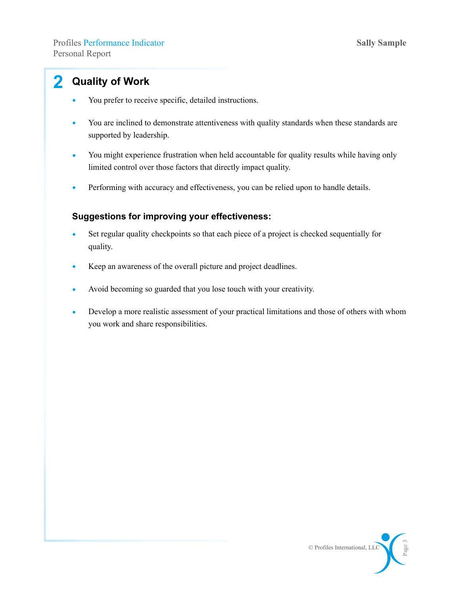## **2 Quality of Work**

- You prefer to receive specific, detailed instructions.
- You are inclined to demonstrate attentiveness with quality standards when these standards are supported by leadership.
- You might experience frustration when held accountable for quality results while having only limited control over those factors that directly impact quality.
- Performing with accuracy and effectiveness, you can be relied upon to handle details.

- Set regular quality checkpoints so that each piece of a project is checked sequentially for quality.
- Keep an awareness of the overall picture and project deadlines.
- Avoid becoming so guarded that you lose touch with your creativity.
- Develop a more realistic assessment of your practical limitations and those of others with whom you work and share responsibilities.

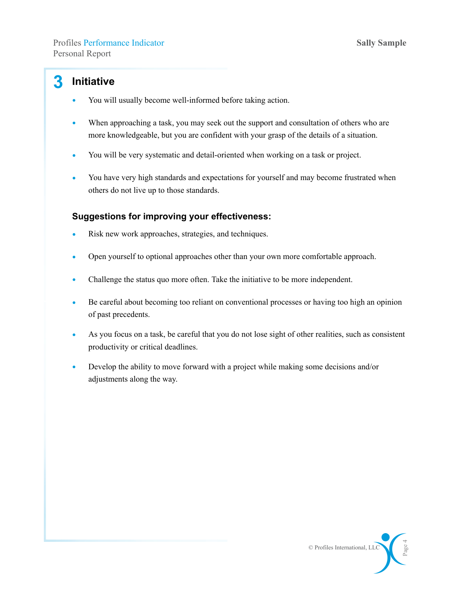### **3 Initiative**

- You will usually become well-informed before taking action.
- When approaching a task, you may seek out the support and consultation of others who are more knowledgeable, but you are confident with your grasp of the details of a situation.
- You will be very systematic and detail-oriented when working on a task or project.
- You have very high standards and expectations for yourself and may become frustrated when others do not live up to those standards.

- Risk new work approaches, strategies, and techniques.
- Open yourself to optional approaches other than your own more comfortable approach.
- Challenge the status quo more often. Take the initiative to be more independent.
- Be careful about becoming too reliant on conventional processes or having too high an opinion of past precedents.
- As you focus on a task, be careful that you do not lose sight of other realities, such as consistent productivity or critical deadlines.
- Develop the ability to move forward with a project while making some decisions and/or adjustments along the way.

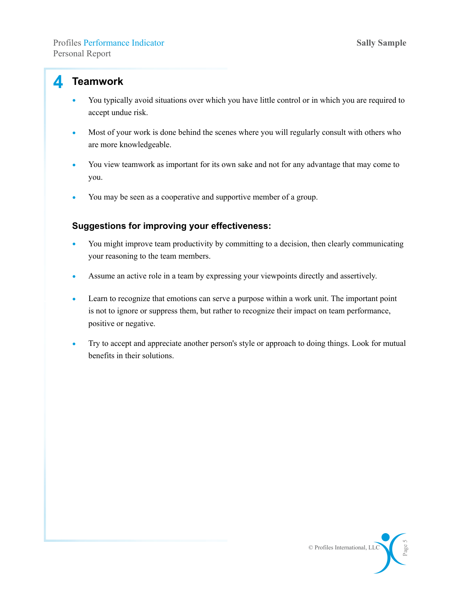#### **4 Teamwork**

- You typically avoid situations over which you have little control or in which you are required to accept undue risk.
- Most of your work is done behind the scenes where you will regularly consult with others who are more knowledgeable.
- You view teamwork as important for its own sake and not for any advantage that may come to you.
- You may be seen as a cooperative and supportive member of a group.

- You might improve team productivity by committing to a decision, then clearly communicating your reasoning to the team members.
- Assume an active role in a team by expressing your viewpoints directly and assertively.
- Learn to recognize that emotions can serve a purpose within a work unit. The important point is not to ignore or suppress them, but rather to recognize their impact on team performance, positive or negative.
- Try to accept and appreciate another person's style or approach to doing things. Look for mutual benefits in their solutions.

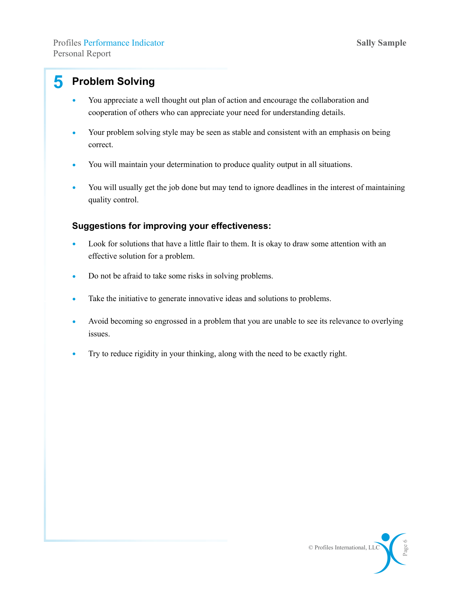## **5 Problem Solving**

- You appreciate a well thought out plan of action and encourage the collaboration and cooperation of others who can appreciate your need for understanding details.
- Your problem solving style may be seen as stable and consistent with an emphasis on being correct.
- You will maintain your determination to produce quality output in all situations.
- You will usually get the job done but may tend to ignore deadlines in the interest of maintaining quality control.

- Look for solutions that have a little flair to them. It is okay to draw some attention with an effective solution for a problem.
- Do not be afraid to take some risks in solving problems.
- Take the initiative to generate innovative ideas and solutions to problems.
- Avoid becoming so engrossed in a problem that you are unable to see its relevance to overlying issues.
- Try to reduce rigidity in your thinking, along with the need to be exactly right.

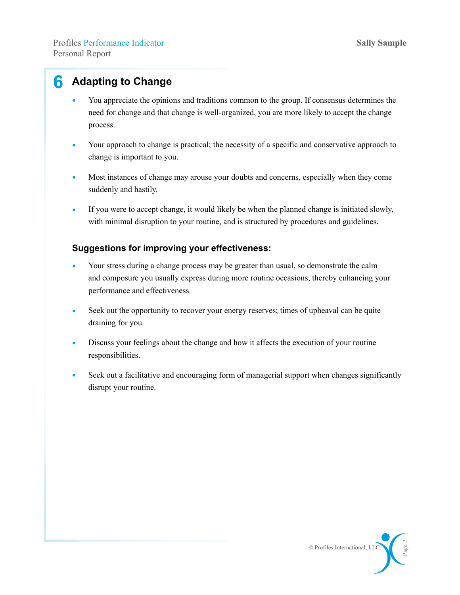## **6 Adapting to Change**

- You appreciate the opinions and traditions common to the group. If consensus determines the need for change and that change is well-organized, you are more likely to accept the change process.
- Your approach to change is practical; the necessity of a specific and conservative approach to change is important to you.
- Most instances of change may arouse your doubts and concerns, especially when they come suddenly and hastily.
- If you were to accept change, it would likely be when the planned change is initiated slowly, with minimal disruption to your routine, and is structured by procedures and guidelines.

- Your stress during a change process may be greater than usual, so demonstrate the calm and composure you usually express during more routine occasions, thereby enhancing your performance and effectiveness.
- Seek out the opportunity to recover your energy reserves; times of upheaval can be quite draining for you.
- Discuss your feelings about the change and how it affects the execution of your routine responsibilities.
- Seek out a facilitative and encouraging form of managerial support when changes significantly disrupt your routine.

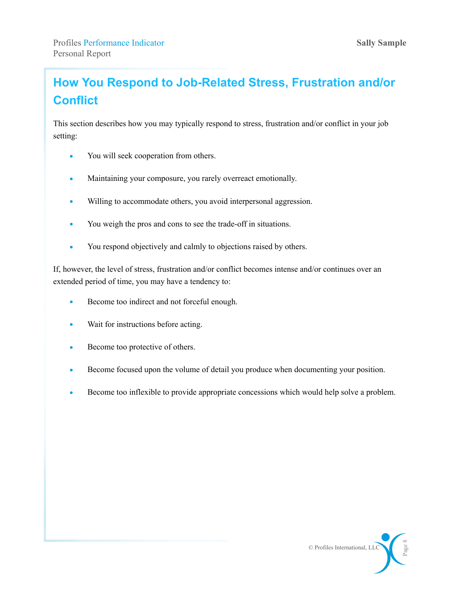## **How You Respond to Job-Related Stress, Frustration and/or Conflict**

This section describes how you may typically respond to stress, frustration and/or conflict in your job setting:

- You will seek cooperation from others.
- Maintaining your composure, you rarely overreact emotionally.
- Willing to accommodate others, you avoid interpersonal aggression.
- You weigh the pros and cons to see the trade-off in situations.
- You respond objectively and calmly to objections raised by others.

If, however, the level of stress, frustration and/or conflict becomes intense and/or continues over an extended period of time, you may have a tendency to:

- Become too indirect and not forceful enough.
- Wait for instructions before acting.
- Become too protective of others.
- Become focused upon the volume of detail you produce when documenting your position.
- Become too inflexible to provide appropriate concessions which would help solve a problem.